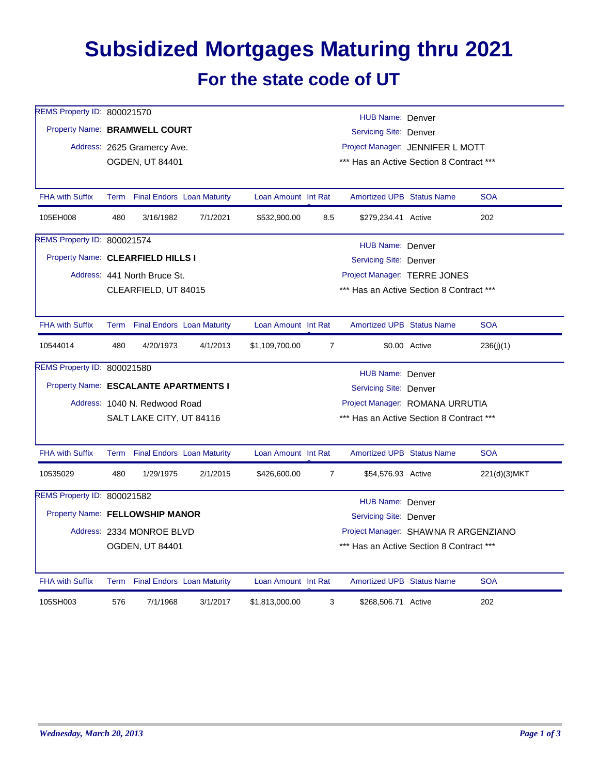## **Subsidized Mortgages Maturing thru 2021 For the state code of UT**

| REMS Property ID: 800021570                               |                             |                                   |          |                                                                                  |                                  |                                          |                              |              |  |  |
|-----------------------------------------------------------|-----------------------------|-----------------------------------|----------|----------------------------------------------------------------------------------|----------------------------------|------------------------------------------|------------------------------|--------------|--|--|
|                                                           |                             |                                   |          |                                                                                  |                                  | HUB Name: Denver                         |                              |              |  |  |
| Property Name: BRAMWELL COURT                             |                             |                                   |          | Servicing Site: Denver                                                           |                                  |                                          |                              |              |  |  |
|                                                           | Address: 2625 Gramercy Ave. |                                   |          |                                                                                  | Project Manager: JENNIFER L MOTT |                                          |                              |              |  |  |
| <b>OGDEN, UT 84401</b>                                    |                             |                                   |          |                                                                                  |                                  | *** Has an Active Section 8 Contract *** |                              |              |  |  |
|                                                           |                             |                                   |          |                                                                                  |                                  |                                          |                              |              |  |  |
| <b>FHA with Suffix</b>                                    |                             | Term Final Endors Loan Maturity   |          | Loan Amount Int Rat                                                              |                                  | <b>Amortized UPB Status Name</b>         |                              | <b>SOA</b>   |  |  |
| 105EH008                                                  | 480                         | 3/16/1982                         | 7/1/2021 | \$532,900.00                                                                     | 8.5                              | \$279,234.41 Active                      |                              | 202          |  |  |
| REMS Property ID: 800021574                               |                             |                                   |          |                                                                                  |                                  | HUB Name: Denver                         |                              |              |  |  |
| Property Name: CLEARFIELD HILLS I                         |                             |                                   |          |                                                                                  |                                  | Servicing Site: Denver                   |                              |              |  |  |
|                                                           |                             | Address: 441 North Bruce St.      |          |                                                                                  |                                  |                                          | Project Manager: TERRE JONES |              |  |  |
|                                                           |                             | CLEARFIELD, UT 84015              |          |                                                                                  |                                  | *** Has an Active Section 8 Contract *** |                              |              |  |  |
|                                                           |                             |                                   |          |                                                                                  |                                  |                                          |                              |              |  |  |
| <b>FHA with Suffix</b>                                    | Term                        | <b>Final Endors Loan Maturity</b> |          | Loan Amount Int Rat                                                              |                                  | <b>Amortized UPB Status Name</b>         |                              | <b>SOA</b>   |  |  |
| 10544014                                                  | 480                         | 4/20/1973                         | 4/1/2013 | \$1,109,700.00                                                                   | $\overline{7}$                   |                                          | \$0.00 Active                | 236(i)(1)    |  |  |
| REMS Property ID: 800021580                               |                             |                                   |          |                                                                                  |                                  | HUB Name: Denver                         |                              |              |  |  |
| Property Name: ESCALANTE APARTMENTS I                     |                             |                                   |          |                                                                                  |                                  | <b>Servicing Site: Denver</b>            |                              |              |  |  |
|                                                           |                             |                                   |          | Project Manager: ROMANA URRUTIA                                                  |                                  |                                          |                              |              |  |  |
| Address: 1040 N. Redwood Road<br>SALT LAKE CITY, UT 84116 |                             |                                   |          | *** Has an Active Section 8 Contract ***                                         |                                  |                                          |                              |              |  |  |
|                                                           |                             |                                   |          |                                                                                  |                                  |                                          |                              |              |  |  |
| <b>FHA with Suffix</b>                                    |                             | Term Final Endors Loan Maturity   |          | Loan Amount Int Rat                                                              |                                  | <b>Amortized UPB Status Name</b>         |                              | <b>SOA</b>   |  |  |
| 10535029                                                  | 480                         | 1/29/1975                         | 2/1/2015 | \$426,600.00                                                                     | $\overline{7}$                   | \$54,576.93 Active                       |                              | 221(d)(3)MKT |  |  |
| REMS Property ID: 800021582                               |                             |                                   |          |                                                                                  |                                  | HUB Name: Denver                         |                              |              |  |  |
| Property Name: FELLOWSHIP MANOR                           |                             |                                   |          | Servicing Site: Denver                                                           |                                  |                                          |                              |              |  |  |
|                                                           |                             | Address: 2334 MONROE BLVD         |          |                                                                                  |                                  |                                          |                              |              |  |  |
|                                                           |                             | <b>OGDEN, UT 84401</b>            |          | Project Manager: SHAWNA R ARGENZIANO<br>*** Has an Active Section 8 Contract *** |                                  |                                          |                              |              |  |  |
|                                                           |                             |                                   |          |                                                                                  |                                  |                                          |                              |              |  |  |
| <b>FHA with Suffix</b>                                    |                             | Term Final Endors Loan Maturity   |          | Loan Amount Int Rat                                                              |                                  | <b>Amortized UPB Status Name</b>         |                              | <b>SOA</b>   |  |  |
| 105SH003                                                  | 576                         | 7/1/1968                          | 3/1/2017 | \$1,813,000.00                                                                   | 3                                | \$268,506.71 Active                      |                              | 202          |  |  |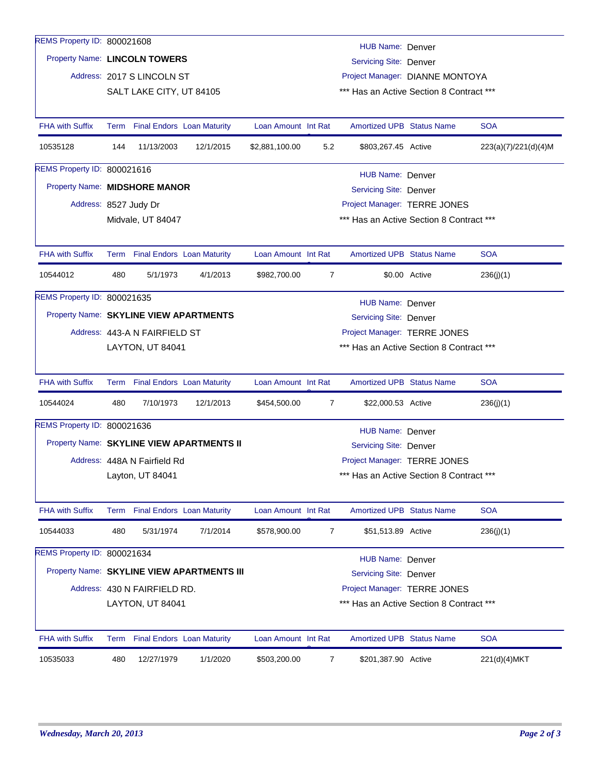| REMS Property ID: 800021608                      |                                                                                      |                              |                                            |                     |                                 | HUB Name: Denver                         |                              |                      |  |
|--------------------------------------------------|--------------------------------------------------------------------------------------|------------------------------|--------------------------------------------|---------------------|---------------------------------|------------------------------------------|------------------------------|----------------------|--|
|                                                  | Property Name: LINCOLN TOWERS<br>Servicing Site: Denver                              |                              |                                            |                     |                                 |                                          |                              |                      |  |
|                                                  |                                                                                      | Address: 2017 S LINCOLN ST   |                                            |                     | Project Manager: DIANNE MONTOYA |                                          |                              |                      |  |
|                                                  |                                                                                      | SALT LAKE CITY, UT 84105     |                                            |                     |                                 | *** Has an Active Section 8 Contract *** |                              |                      |  |
|                                                  |                                                                                      |                              |                                            |                     |                                 |                                          |                              |                      |  |
| <b>FHA with Suffix</b>                           |                                                                                      |                              | Term Final Endors Loan Maturity            | Loan Amount Int Rat |                                 | <b>Amortized UPB Status Name</b>         |                              | <b>SOA</b>           |  |
| 10535128                                         | 144                                                                                  | 11/13/2003                   | 12/1/2015                                  | \$2,881,100.00      | 5.2                             | \$803,267.45 Active                      |                              | 223(a)(7)/221(d)(4)M |  |
| REMS Property ID: 800021616                      |                                                                                      |                              |                                            |                     |                                 | HUB Name: Denver                         |                              |                      |  |
| Property Name: MIDSHORE MANOR                    |                                                                                      |                              |                                            |                     |                                 | Servicing Site: Denver                   |                              |                      |  |
|                                                  |                                                                                      |                              |                                            |                     |                                 |                                          | Project Manager: TERRE JONES |                      |  |
|                                                  | Address: 8527 Judy Dr<br>Midvale, UT 84047                                           |                              |                                            |                     |                                 | *** Has an Active Section 8 Contract *** |                              |                      |  |
|                                                  |                                                                                      |                              |                                            |                     |                                 |                                          |                              |                      |  |
| <b>FHA with Suffix</b>                           |                                                                                      |                              | Term Final Endors Loan Maturity            | Loan Amount Int Rat |                                 | <b>Amortized UPB Status Name</b>         |                              | <b>SOA</b>           |  |
| 10544012                                         | 480                                                                                  | 5/1/1973                     | 4/1/2013                                   | \$982,700.00        | $\overline{7}$                  |                                          | \$0.00 Active                | 236(j)(1)            |  |
| REMS Property ID: 800021635                      |                                                                                      |                              |                                            |                     |                                 |                                          |                              |                      |  |
|                                                  | HUB Name: Denver<br>Property Name: SKYLINE VIEW APARTMENTS<br>Servicing Site: Denver |                              |                                            |                     |                                 |                                          |                              |                      |  |
|                                                  |                                                                                      |                              |                                            |                     | Project Manager: TERRE JONES    |                                          |                              |                      |  |
|                                                  | Address: 443-A N FAIRFIELD ST<br>LAYTON, UT 84041                                    |                              |                                            |                     |                                 | *** Has an Active Section 8 Contract *** |                              |                      |  |
|                                                  |                                                                                      |                              |                                            |                     |                                 |                                          |                              |                      |  |
| <b>FHA with Suffix</b>                           |                                                                                      |                              | Term Final Endors Loan Maturity            | Loan Amount Int Rat |                                 | <b>Amortized UPB Status Name</b>         |                              | <b>SOA</b>           |  |
| 10544024                                         | 480                                                                                  | 7/10/1973                    | 12/1/2013                                  | \$454,500.00        | 7                               | \$22,000.53 Active                       |                              | 236(j)(1)            |  |
| REMS Property ID: 800021636                      |                                                                                      |                              |                                            |                     |                                 | HUB Name: Denver                         |                              |                      |  |
|                                                  |                                                                                      |                              | Property Name: SKYLINE VIEW APARTMENTS II  |                     |                                 | Servicing Site: Denver                   |                              |                      |  |
|                                                  |                                                                                      |                              |                                            |                     |                                 |                                          | Project Manager: TERRE JONES |                      |  |
| Address: 448A N Fairfield Rd<br>Layton, UT 84041 |                                                                                      |                              |                                            |                     |                                 | *** Has an Active Section 8 Contract *** |                              |                      |  |
|                                                  |                                                                                      |                              |                                            |                     |                                 |                                          |                              |                      |  |
| <b>FHA with Suffix</b>                           |                                                                                      |                              | Term Final Endors Loan Maturity            | Loan Amount Int Rat |                                 | <b>Amortized UPB Status Name</b>         |                              | <b>SOA</b>           |  |
| 10544033                                         | 480                                                                                  | 5/31/1974                    | 7/1/2014                                   | \$578,900.00        | 7                               | \$51,513.89 Active                       |                              | 236(j)(1)            |  |
| REMS Property ID: 800021634                      |                                                                                      |                              |                                            |                     |                                 | <b>HUB Name: Denver</b>                  |                              |                      |  |
|                                                  |                                                                                      |                              | Property Name: SKYLINE VIEW APARTMENTS III |                     |                                 | Servicing Site: Denver                   |                              |                      |  |
|                                                  |                                                                                      | Address: 430 N FAIRFIELD RD. |                                            |                     |                                 |                                          | Project Manager: TERRE JONES |                      |  |
|                                                  |                                                                                      | LAYTON, UT 84041             |                                            |                     |                                 | *** Has an Active Section 8 Contract *** |                              |                      |  |
|                                                  |                                                                                      |                              |                                            |                     |                                 |                                          |                              |                      |  |
| <b>FHA with Suffix</b>                           | Term                                                                                 |                              | <b>Final Endors Loan Maturity</b>          | Loan Amount Int Rat |                                 | <b>Amortized UPB Status Name</b>         |                              | <b>SOA</b>           |  |
| 10535033                                         | 480                                                                                  | 12/27/1979                   | 1/1/2020                                   | \$503,200.00        | 7                               | \$201,387.90 Active                      |                              | 221(d)(4)MKT         |  |